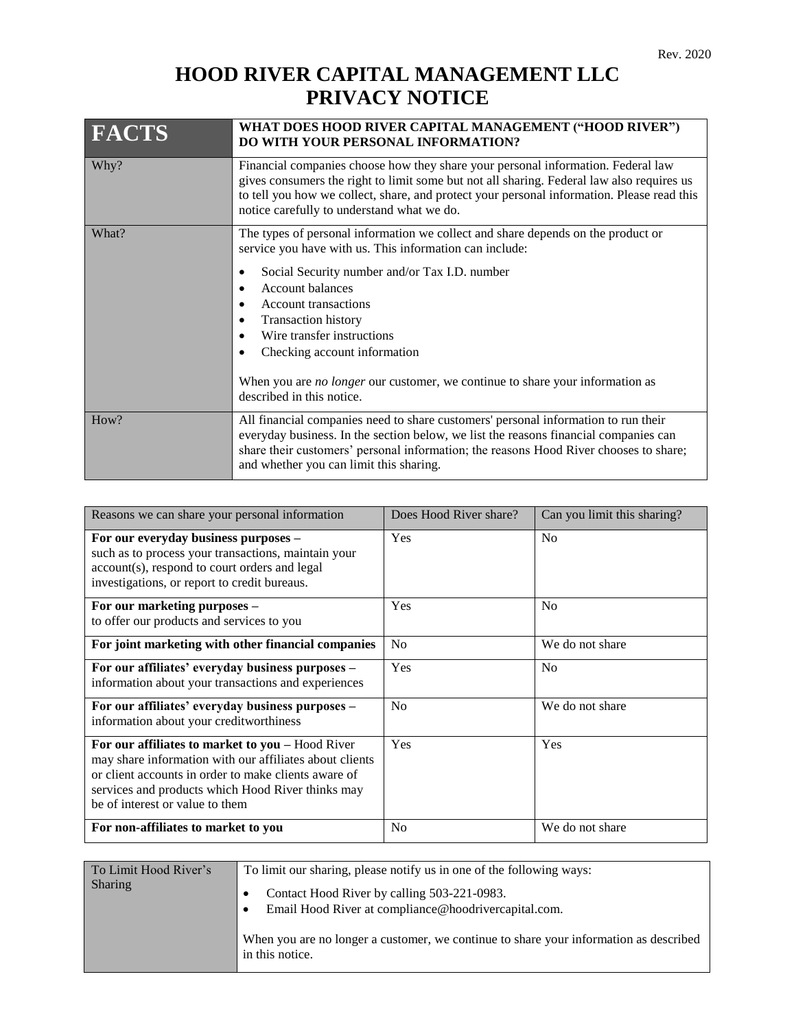## **HOOD RIVER CAPITAL MANAGEMENT LLC PRIVACY NOTICE**

| FACTS | WHAT DOES HOOD RIVER CAPITAL MANAGEMENT ("HOOD RIVER")<br>DO WITH YOUR PERSONAL INFORMATION?                                                                                                                                                                                                                                                                                                                                                                     |
|-------|------------------------------------------------------------------------------------------------------------------------------------------------------------------------------------------------------------------------------------------------------------------------------------------------------------------------------------------------------------------------------------------------------------------------------------------------------------------|
| Why?  | Financial companies choose how they share your personal information. Federal law<br>gives consumers the right to limit some but not all sharing. Federal law also requires us<br>to tell you how we collect, share, and protect your personal information. Please read this<br>notice carefully to understand what we do.                                                                                                                                        |
| What? | The types of personal information we collect and share depends on the product or<br>service you have with us. This information can include:<br>Social Security number and/or Tax I.D. number<br>Account balances<br><b>Account transactions</b><br><b>Transaction history</b><br>Wire transfer instructions<br>Checking account information<br>When you are <i>no longer</i> our customer, we continue to share your information as<br>described in this notice. |
| How?  | All financial companies need to share customers' personal information to run their<br>everyday business. In the section below, we list the reasons financial companies can<br>share their customers' personal information; the reasons Hood River chooses to share;<br>and whether you can limit this sharing.                                                                                                                                                   |

| Reasons we can share your personal information                                                                                                                                                                                                              | Does Hood River share? | Can you limit this sharing? |
|-------------------------------------------------------------------------------------------------------------------------------------------------------------------------------------------------------------------------------------------------------------|------------------------|-----------------------------|
| For our everyday business purposes -<br>such as to process your transactions, maintain your<br>account(s), respond to court orders and legal<br>investigations, or report to credit bureaus.                                                                | Yes                    | N <sub>0</sub>              |
| For our marketing purposes -<br>to offer our products and services to you                                                                                                                                                                                   | Yes                    | N <sub>0</sub>              |
| For joint marketing with other financial companies                                                                                                                                                                                                          | N <sub>0</sub>         | We do not share             |
| For our affiliates' everyday business purposes -<br>information about your transactions and experiences                                                                                                                                                     | Yes                    | N <sub>o</sub>              |
| For our affiliates' everyday business purposes -<br>information about your creditworthiness                                                                                                                                                                 | N <sub>o</sub>         | We do not share             |
| For our affiliates to market to you - Hood River<br>may share information with our affiliates about clients<br>or client accounts in order to make clients aware of<br>services and products which Hood River thinks may<br>be of interest or value to them | Yes                    | Yes                         |
| For non-affiliates to market to you                                                                                                                                                                                                                         | N <sub>0</sub>         | We do not share             |

| To Limit Hood River's<br><b>Sharing</b> | To limit our sharing, please notify us in one of the following ways:<br>Contact Hood River by calling 503-221-0983.<br>Email Hood River at compliance@hoodrivercapital.com.<br>When you are no longer a customer, we continue to share your information as described<br>in this notice. |
|-----------------------------------------|-----------------------------------------------------------------------------------------------------------------------------------------------------------------------------------------------------------------------------------------------------------------------------------------|
|                                         |                                                                                                                                                                                                                                                                                         |